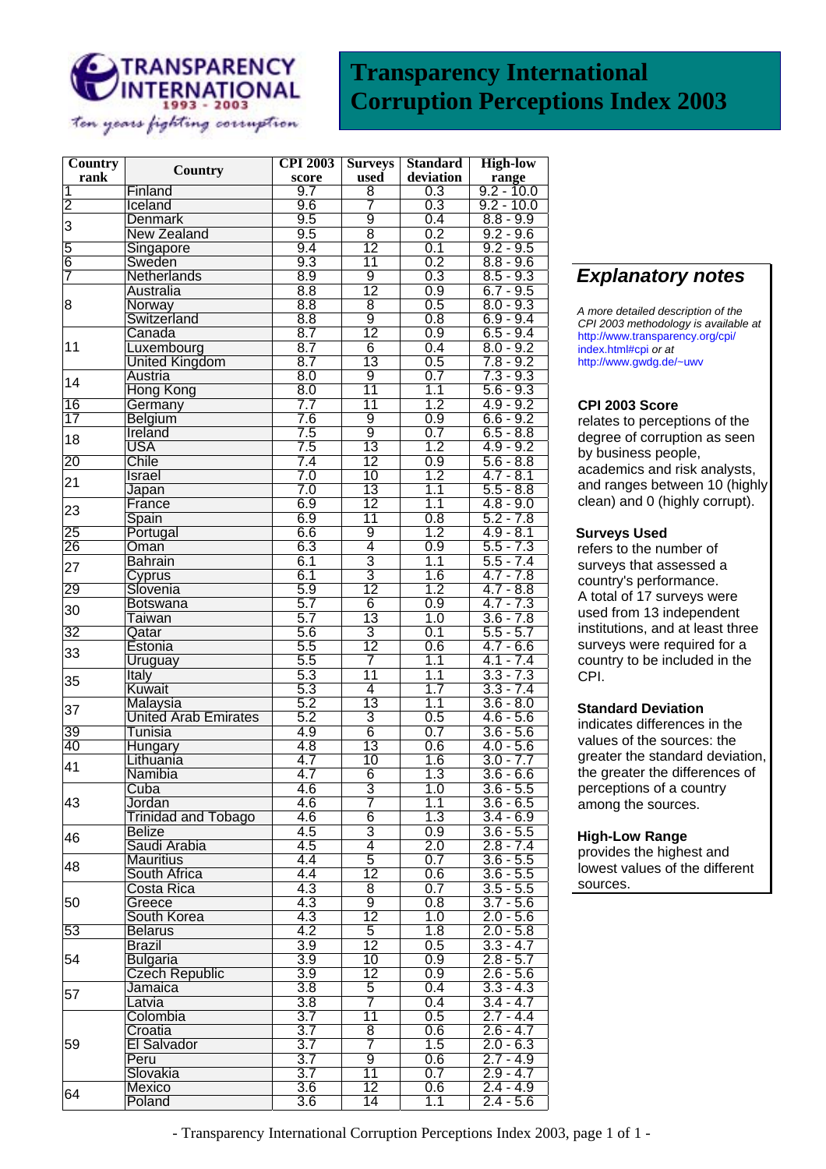

# **Transparency International Corruption Perceptions Index 2003**

| Country                 | <b>Country</b>                   | <b>CPI 2003</b>  | <b>Surveys</b>  | <b>Standard</b> | <b>High-low</b>                   |
|-------------------------|----------------------------------|------------------|-----------------|-----------------|-----------------------------------|
| rank                    |                                  | score            | used            | deviation       | range                             |
| $\overline{\mathbf{1}}$ | Finland                          | 9.7              | 8               | 0.3             | $9.2 - 10.0$                      |
| $\overline{2}$          | Iceland                          | 9.6              | 7               | 0.3             | $9.2 - 10.0$                      |
| 3                       | <b>Denmark</b>                   | 9.5              | 9               | 0.4             | $8.8 - 9.9$                       |
|                         | <b>New Zealand</b>               | 9.5              | $\overline{8}$  | 0.2             | $9.2 - 9.6$                       |
| 5                       | Singapore                        | 9.4              | $\overline{12}$ | 0.1             | $9.2 - 9.5$                       |
| 6                       | Sweden                           | 9.3              | 11              | 0.2             | $8.8 - 9.6$                       |
| 7                       | Netherlands                      | 8.9              | 9               | 0.3             | $8.5 - 9.3$                       |
| 8                       | <b>Australia</b>                 | 8.8              | $\overline{12}$ | 0.9             | $6.7 - 9.5$                       |
|                         | Norway                           | 8.8              | 8               | 0.5             | $8.0 - 9.3$                       |
|                         | Switzerland                      | 8.8              | 9               | 0.8             | $6.9 - 9.4$                       |
|                         | Canada                           | 8.7              | 12              | 0.9             | $6.5 - 9.4$                       |
| 11                      | Luxembourg                       | 8.7              | 6               | 0.4             | $8.0 - 9.2$                       |
|                         | <b>United Kingdom</b>            | 8.7              | $\overline{13}$ | 0.5             | $7.8 - 9.2$                       |
|                         | Austria                          | 8.0              | 9               | 0.7             | $7.3 - 9.3$                       |
| 14                      | <b>Hong Kong</b>                 | 8.0              | $\overline{11}$ | 1.1             | $5.6 - 9.3$                       |
| 16                      | Germany                          | 7.7              | $\overline{11}$ | 1.2             | $4.9 - 9.2$                       |
| $\overline{17}$         | Belgium                          | 7.6              | $\overline{9}$  | 0.9             | $6.6 - 9.2$                       |
|                         | Ireland                          | 7.5              | 9               | 0.7             | $6.5 - 8.8$                       |
| 18                      | <b>USA</b>                       | 7.5              | 13              | 1.2             | $4.9 - 9.2$                       |
| 20                      | Chile                            | 7.4              | $\overline{12}$ | 0.9             | $5.6 - 8.8$                       |
|                         | Israel                           | 7.0              | 10              | 1.2             | $4.7 - 8.1$                       |
| 21                      | Japan                            | 7.0              | 13              | 1.1             | $5.5 - 8.8$                       |
|                         | France                           | 6.9              | 12              | 1.1             | $4.8 - 9.0$                       |
| 23                      | Spain                            | 6.9              | $\overline{11}$ | 0.8             | $5.2 - 7.8$                       |
| 25                      | Portugal                         | 6.6              | 9               | 1.2             | $4.9 - 8.1$                       |
| 26                      | Oman                             | 6.3              | $\overline{4}$  | 0.9             | $5.5 - 7.3$                       |
|                         | <b>Bahrain</b>                   | 6.1              | $\overline{3}$  | 1.1             | $5.5 - 7.4$                       |
| 27                      | Cyprus                           | 6.1              | $\overline{3}$  | 1.6             | $4.7 - 7.8$                       |
| 29                      | Slovenia                         | 5.9              | 12              | 1.2             | $4.7 - 8.8$                       |
|                         | <b>Botswana</b>                  | 5.7              | 6               | 0.9             | $4.7 - 7.3$                       |
| 30                      | Taiwan                           | 5.7              | 13              | 1.0             |                                   |
| 32                      | Qatar                            | 5.6              | 3               | 0.1             | $3.6 - 7.8$                       |
|                         | Estonia                          | 5.5              | $\overline{12}$ | 0.6             | $5.5 - 5.7$<br>$4.7 - 6.6$        |
| 33                      | Uruguay                          | 5.5              | 7               | 1.1             | $4.1 - 7.4$                       |
|                         | Italy                            | 5.3              | 11              | 1.1             | $3.3 - 7.3$                       |
| 35                      | Kuwait                           | 5.3              | 4               | 1.7             | $3.3 - 7.4$                       |
|                         | Malaysia                         | 5.2              | 13              | 1.1             | $3.6 - 8.0$                       |
| 37                      | <b>United Arab Emirates</b>      | 5.2              | 3               | 0.5             | $4.6 - 5.6$                       |
| 39                      | Tunisia                          | 4.9              | $\overline{6}$  | 0.7             |                                   |
| 40                      |                                  | 4.8              | 13              | 0.6             | $3.6 - 5.6$<br>$4.0 - 5.6$        |
|                         | Hungary<br>Lithuania             | 4.7              | 10              | 1.6             | $3.0 - 7.7$                       |
| 41                      | Namibia                          | 4.7              | $\overline{6}$  | 1.3             |                                   |
|                         |                                  |                  |                 |                 | $3.6 - 6.6$                       |
|                         | Cuba                             | 4.6              | 3<br>7          | 1.0             | $3.6 - 5.5$                       |
| 43                      | Jordan                           | 4.6              |                 | 1.1             | $3.6 - 6.5$                       |
|                         | <b>Trinidad and Tobago</b>       | 4.6              | 6               | 1.3             | $3.4 - 6.9$                       |
| 46                      | Belize                           | 4.5              | 3               | 0.9             | $3.\overline{6} - 5.\overline{5}$ |
|                         | Saudi Arabia<br><b>Mauritius</b> | 4.5              | 4               | 2.0             | $2.8 - 7.4$                       |
| 48                      |                                  | 4.4              | 5               | 0.7             | $3.6 - 5.5$                       |
|                         | South Africa                     | 4.4              | $\overline{12}$ | 0.6             | $3.6 - 5.5$                       |
| 50                      | Costa Rica                       | 4.3              | 8               | 0.7             | $3.5 - 5.5$                       |
|                         | Greece                           | 4.3              | 9               | 0.8             | $3.7 - 5.6$                       |
|                         | South Korea                      | 4.3              | $\overline{12}$ | 1.0             | $2.0 - 5.6$                       |
| 53                      | <b>Belarus</b>                   | 4.2              | $\overline{5}$  | 1.8             | $2.0 - 5.8$                       |
| 54                      | <b>Brazil</b>                    | 3.9              | $\overline{12}$ | 0.5             | $3.3 - 4.7$                       |
|                         | <b>Bulgaria</b>                  | 3.9              | $\overline{10}$ | 0.9             | $2.8 - 5.7$                       |
|                         | <b>Czech Republic</b>            | $\overline{3.9}$ | 12              | 0.9             | $2.6 - 5.6$                       |
| 57                      | Jamaica                          | 3.8              | 5               | 0.4             | $3.3 - 4.3$                       |
|                         | Latvia                           | 3.8              | 7               | 0.4             | $3.4 - 4.7$                       |
| 59                      | Colombia                         | $\overline{3.7}$ | $\overline{11}$ | 0.5             | $2.7 - 4.4$                       |
|                         | Croatia                          | 3.7              | 8               | 0.6             | $2.6 - 4.7$                       |
|                         | El Salvador                      | 3.7              | 7               | 1.5             | $2.0 - 6.3$                       |
|                         | Peru                             | $\overline{3.7}$ | $\overline{9}$  | 0.6             | $2.7 - 4.9$                       |
|                         | Slovakia                         | 3.7              | 11              | 0.7             | $2.9 - 4.7$                       |
| 64                      | Mexico                           | 3.6              | $\overline{12}$ | 0.6             | $2.4 - 4.9$                       |
|                         | Poland                           | 3.6              | $\overline{14}$ | 1.1             | $2.4 - 5.6$                       |

## *Explanatory notes*

*A more detailed description of the CPI 2003 methodology is available at*  http://www.transparency.org/cpi/ index.html#cpi *or at*  http://www.gwdg.de/~uwv

## **CPI 2003 Score**

relates to perceptions of the degree of corruption as seen by business people, academics and risk analysts, and ranges between 10 (highly clean) and 0 (highly corrupt).

#### **Surveys Used**

refers to the number of surveys that assessed a country's performance. A total of 17 surveys were used from 13 independent institutions, and at least three surveys were required for a country to be included in the CPI.

### **Standard Deviation**

indicates differences in the values of the sources: the greater the standard deviation, the greater the differences of perceptions of a country among the sources.

### **High-Low Range**

provides the highest and lowest values of the different sources.